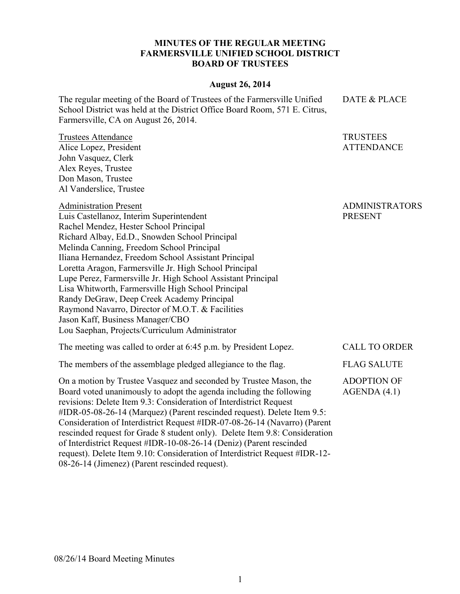## **MINUTES OF THE REGULAR MEETING FARMERSVILLE UNIFIED SCHOOL DISTRICT BOARD OF TRUSTEES**

## **August 26, 2014**

The regular meeting of the Board of Trustees of the Farmersville Unified School District was held at the District Office Board Room, 571 E. Citrus, Farmersville, CA on August 26, 2014.

Trustees Attendance Alice Lopez, President John Vasquez, Clerk Alex Reyes, Trustee Don Mason, Trustee Al Vanderslice, Trustee

## Administration Present

ADMINISTRATORS PRESENT

DATE & PLACE

TRUSTEES ATTENDANCE

Luis Castellanoz, Interim Superintendent Rachel Mendez, Hester School Principal Richard Albay, Ed.D., Snowden School Principal Melinda Canning, Freedom School Principal Iliana Hernandez, Freedom School Assistant Principal Loretta Aragon, Farmersville Jr. High School Principal Lupe Perez, Farmersville Jr. High School Assistant Principal Lisa Whitworth, Farmersville High School Principal Randy DeGraw, Deep Creek Academy Principal Raymond Navarro, Director of M.O.T. & Facilities Jason Kaff, Business Manager/CBO Lou Saephan, Projects/Curriculum Administrator

| The meeting was called to order at 6:45 p.m. by President Lopez.                                                                         | <b>CALL TO ORDER</b>              |
|------------------------------------------------------------------------------------------------------------------------------------------|-----------------------------------|
| The members of the assemblage pledged allegiance to the flag.                                                                            | <b>FLAG SALUTE</b>                |
| On a motion by Trustee Vasquez and seconded by Trustee Mason, the<br>Board voted unanimously to adopt the agenda including the following | <b>ADOPTION OF</b><br>AGENDA(4.1) |

revisions: Delete Item 9.3: Consideration of Interdistrict Request #IDR-05-08-26-14 (Marquez) (Parent rescinded request). Delete Item 9.5: Consideration of Interdistrict Request #IDR-07-08-26-14 (Navarro) (Parent rescinded request for Grade 8 student only). Delete Item 9.8: Consideration of Interdistrict Request #IDR-10-08-26-14 (Deniz) (Parent rescinded request). Delete Item 9.10: Consideration of Interdistrict Request #IDR-12- 08-26-14 (Jimenez) (Parent rescinded request).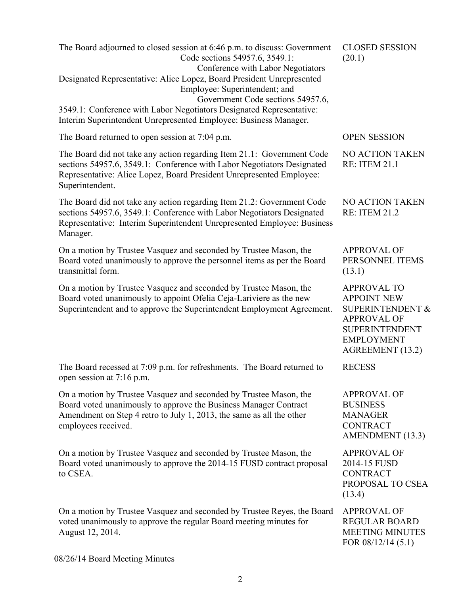| The Board adjourned to closed session at 6:46 p.m. to discuss: Government<br>Code sections 54957.6, 3549.1:<br>Conference with Labor Negotiators                                                                                            | <b>CLOSED SESSION</b><br>(20.1)                                                                                                                                 |
|---------------------------------------------------------------------------------------------------------------------------------------------------------------------------------------------------------------------------------------------|-----------------------------------------------------------------------------------------------------------------------------------------------------------------|
| Designated Representative: Alice Lopez, Board President Unrepresented<br>Employee: Superintendent; and<br>Government Code sections 54957.6,                                                                                                 |                                                                                                                                                                 |
| 3549.1: Conference with Labor Negotiators Designated Representative:<br>Interim Superintendent Unrepresented Employee: Business Manager.                                                                                                    |                                                                                                                                                                 |
| The Board returned to open session at 7:04 p.m.                                                                                                                                                                                             | <b>OPEN SESSION</b>                                                                                                                                             |
| The Board did not take any action regarding Item 21.1: Government Code<br>sections 54957.6, 3549.1: Conference with Labor Negotiators Designated<br>Representative: Alice Lopez, Board President Unrepresented Employee:<br>Superintendent. | NO ACTION TAKEN<br><b>RE: ITEM 21.1</b>                                                                                                                         |
| The Board did not take any action regarding Item 21.2: Government Code<br>sections 54957.6, 3549.1: Conference with Labor Negotiators Designated<br>Representative: Interim Superintendent Unrepresented Employee: Business<br>Manager.     | NO ACTION TAKEN<br><b>RE: ITEM 21.2</b>                                                                                                                         |
| On a motion by Trustee Vasquez and seconded by Trustee Mason, the<br>Board voted unanimously to approve the personnel items as per the Board<br>transmittal form.                                                                           | <b>APPROVAL OF</b><br>PERSONNEL ITEMS<br>(13.1)                                                                                                                 |
| On a motion by Trustee Vasquez and seconded by Trustee Mason, the<br>Board voted unanimously to appoint Ofelia Ceja-Lariviere as the new<br>Superintendent and to approve the Superintendent Employment Agreement.                          | <b>APPROVAL TO</b><br><b>APPOINT NEW</b><br><b>SUPERINTENDENT &amp;</b><br><b>APPROVAL OF</b><br><b>SUPERINTENDENT</b><br><b>EMPLOYMENT</b><br>AGREEMENT (13.2) |
| The Board recessed at 7:09 p.m. for refreshments. The Board returned to<br>open session at 7:16 p.m.                                                                                                                                        | <b>RECESS</b>                                                                                                                                                   |
| On a motion by Trustee Vasquez and seconded by Trustee Mason, the<br>Board voted unanimously to approve the Business Manager Contract<br>Amendment on Step 4 retro to July 1, 2013, the same as all the other<br>employees received.        | <b>APPROVAL OF</b><br><b>BUSINESS</b><br><b>MANAGER</b><br><b>CONTRACT</b><br>AMENDMENT (13.3)                                                                  |
| On a motion by Trustee Vasquez and seconded by Trustee Mason, the<br>Board voted unanimously to approve the 2014-15 FUSD contract proposal<br>to CSEA.                                                                                      | <b>APPROVAL OF</b><br>2014-15 FUSD<br><b>CONTRACT</b><br>PROPOSAL TO CSEA<br>(13.4)                                                                             |
| On a motion by Trustee Vasquez and seconded by Trustee Reyes, the Board<br>voted unanimously to approve the regular Board meeting minutes for<br>August 12, 2014.                                                                           | <b>APPROVAL OF</b><br><b>REGULAR BOARD</b><br><b>MEETING MINUTES</b><br>FOR 08/12/14 (5.1)                                                                      |

08/26/14 Board Meeting Minutes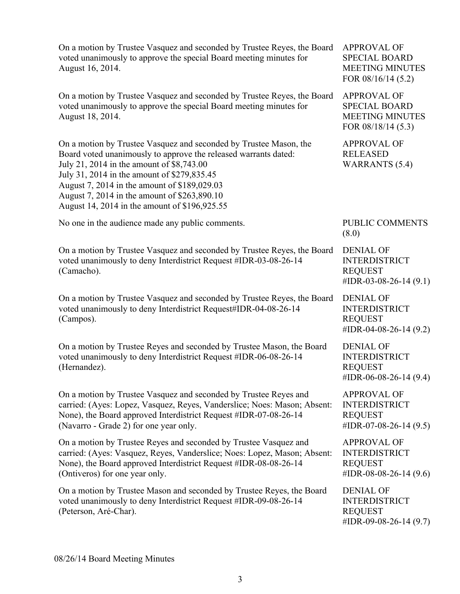On a motion by Trustee Vasquez and seconded by Trustee Reyes, the Board voted unanimously to approve the special Board meeting minutes for August 16, 2014. APPROVAL OF SPECIAL BOARD MEETING MINUTES FOR 08/16/14 (5.2) On a motion by Trustee Vasquez and seconded by Trustee Reyes, the Board voted unanimously to approve the special Board meeting minutes for August 18, 2014. APPROVAL OF SPECIAL BOARD MEETING MINUTES FOR 08/18/14 (5.3) On a motion by Trustee Vasquez and seconded by Trustee Mason, the Board voted unanimously to approve the released warrants dated: July 21, 2014 in the amount of \$8,743.00 July 31, 2014 in the amount of \$279,835.45 August 7, 2014 in the amount of \$189,029.03 August 7, 2014 in the amount of \$263,890.10 August 14, 2014 in the amount of \$196,925.55 APPROVAL OF RELEASED WARRANTS (5.4) No one in the audience made any public comments. PUBLIC COMMENTS (8.0) On a motion by Trustee Vasquez and seconded by Trustee Reyes, the Board voted unanimously to deny Interdistrict Request #IDR-03-08-26-14 (Camacho). DENIAL OF INTERDISTRICT REQUEST #IDR-03-08-26-14 (9.1) On a motion by Trustee Vasquez and seconded by Trustee Reyes, the Board voted unanimously to deny Interdistrict Request#IDR-04-08-26-14 (Campos). DENIAL OF INTERDISTRICT REQUEST #IDR-04-08-26-14 (9.2) On a motion by Trustee Reyes and seconded by Trustee Mason, the Board voted unanimously to deny Interdistrict Request #IDR-06-08-26-14 (Hernandez). DENIAL OF INTERDISTRICT REQUEST #IDR-06-08-26-14 (9.4) On a motion by Trustee Vasquez and seconded by Trustee Reyes and carried: (Ayes: Lopez, Vasquez, Reyes, Vanderslice; Noes: Mason; Absent: None), the Board approved Interdistrict Request #IDR-07-08-26-14 (Navarro - Grade 2) for one year only. APPROVAL OF INTERDISTRICT REQUEST #IDR-07-08-26-14 (9.5) On a motion by Trustee Reyes and seconded by Trustee Vasquez and carried: (Ayes: Vasquez, Reyes, Vanderslice; Noes: Lopez, Mason; Absent: None), the Board approved Interdistrict Request #IDR-08-08-26-14 (Ontiveros) for one year only. APPROVAL OF INTERDISTRICT REQUEST #IDR-08-08-26-14 (9.6) On a motion by Trustee Mason and seconded by Trustee Reyes, the Board voted unanimously to deny Interdistrict Request #IDR-09-08-26-14 (Peterson, Aré-Char). DENIAL OF INTERDISTRICT REQUEST #IDR-09-08-26-14 (9.7)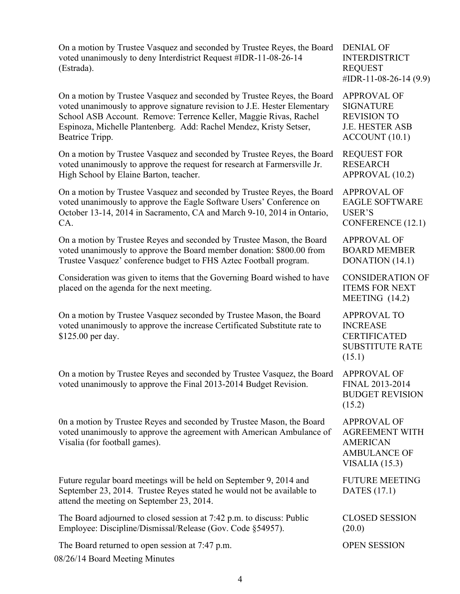On a motion by Trustee Vasquez and seconded by Trustee Reyes, the Board voted unanimously to deny Interdistrict Request #IDR-11-08-26-14 (Estrada).

On a motion by Trustee Vasquez and seconded by Trustee Reyes, the Board voted unanimously to approve signature revision to J.E. Hester Elementary School ASB Account. Remove: Terrence Keller, Maggie Rivas, Rachel Espinoza, Michelle Plantenberg. Add: Rachel Mendez, Kristy Setser, Beatrice Tripp.

On a motion by Trustee Vasquez and seconded by Trustee Reyes, the Board voted unanimously to approve the request for research at Farmersville Jr. High School by Elaine Barton, teacher.

On a motion by Trustee Vasquez and seconded by Trustee Reyes, the Board voted unanimously to approve the Eagle Software Users' Conference on October 13-14, 2014 in Sacramento, CA and March 9-10, 2014 in Ontario, CA.

On a motion by Trustee Reyes and seconded by Trustee Mason, the Board voted unanimously to approve the Board member donation: \$800.00 from Trustee Vasquez' conference budget to FHS Aztec Football program.

Consideration was given to items that the Governing Board wished to have placed on the agenda for the next meeting.

On a motion by Trustee Vasquez seconded by Trustee Mason, the Board voted unanimously to approve the increase Certificated Substitute rate to \$125.00 per day.

On a motion by Trustee Reyes and seconded by Trustee Vasquez, the Board voted unanimously to approve the Final 2013-2014 Budget Revision.

0n a motion by Trustee Reyes and seconded by Trustee Mason, the Board voted unanimously to approve the agreement with American Ambulance of Visalia (for football games).

Future regular board meetings will be held on September 9, 2014 and September 23, 2014. Trustee Reyes stated he would not be available to attend the meeting on September 23, 2014.

The Board adjourned to closed session at 7:42 p.m. to discuss: Public Employee: Discipline/Dismissal/Release (Gov. Code §54957).

08/26/14 Board Meeting Minutes The Board returned to open session at 7:47 p.m. OPEN SESSION

DENIAL OF INTERDISTRICT REQUEST #IDR-11-08-26-14 (9.9)

APPROVAL OF SIGNATURE REVISION TO J.E. HESTER ASB ACCOUNT (10.1)

REQUEST FOR RESEARCH APPROVAL (10.2)

APPROVAL OF EAGLE SOFTWARE USER'S CONFERENCE (12.1)

APPROVAL OF BOARD MEMBER DONATION (14.1)

CONSIDERATION OF ITEMS FOR NEXT MEETING (14.2)

APPROVAL TO INCREASE CERTIFICATED SUBSTITUTE RATE (15.1)

APPROVAL OF FINAL 2013-2014 BUDGET REVISION  $(15.2)$ 

APPROVAL OF AGREEMENT WITH AMERICAN AMBULANCE OF VISALIA (15.3)

FUTURE MEETING DATES (17.1)

CLOSED SESSION  $(20.0)$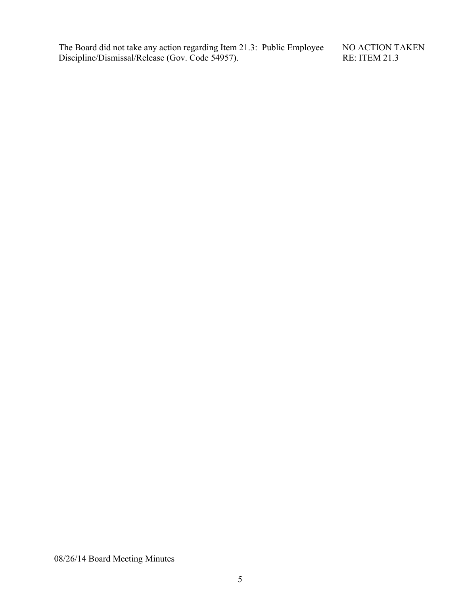The Board did not take any action regarding Item 21.3: Public Employee Discipline/Dismissal/Release (Gov. Code 54957).

NO ACTION TAKEN RE: ITEM 21.3